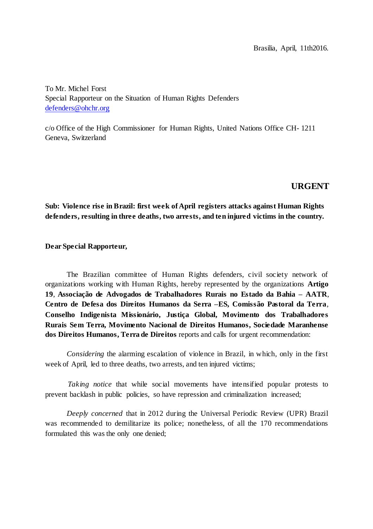To Mr. Michel Forst Special Rapporteur on the Situation of Human Rights Defenders [defenders@ohchr.org](mailto:defenders@ohchr.org)

c/o Office of the High Commissioner for Human Rights, United Nations Office CH- 1211 Geneva, Switzerland

# **URGENT**

**Sub: Violence rise in Brazil: first week of April registers attacks against Human Rights defenders, resulting in three deaths, two arrests, and ten injured victims in the country.**

#### **Dear Special Rapporteur,**

The Brazilian committee of Human Rights defenders, civil society network of organizations working with Human Rights, hereby represented by the organizations **Artigo 19**, **Associação de Advogados de Trabalhadores Rurais no Estado da Bahia – AATR**, **Centro de Defesa dos Direitos Humanos da Serra –ES, Comissão Pastoral da Terra**, **Conselho Indigenista Missionário, Justiça Global, Movimento dos Trabalhadores Rurais Sem Terra, Movimento Nacional de Direitos Humanos, Sociedade Maranhense dos Direitos Humanos, Terra de Direitos** reports and calls for urgent recommendation:

*Considering* the alarming escalation of violence in Brazil, in which, only in the first week of April, led to three deaths, two arrests, and ten injured victims;

*Taking notice* that while social movements have intensified popular protests to prevent backlash in public policies, so have repression and criminalization increased;

*Deeply concerned* that in 2012 during the Universal Periodic Review (UPR) Brazil was recommended to demilitarize its police; nonetheless, of all the 170 recommendations formulated this was the only one denied;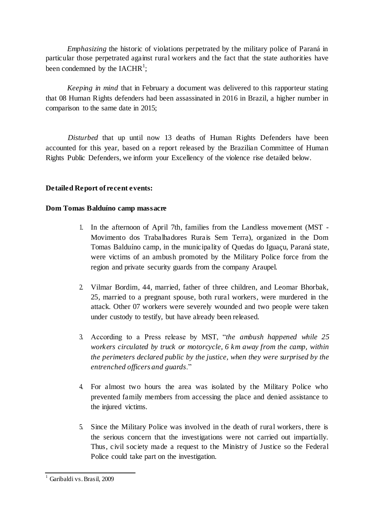*Emphasizing* the historic of violations perpetrated by the military police of Paraná in particular those perpetrated against rural workers and the fact that the state authorities have been condemned by the  $IACHR<sup>1</sup>$ ;

*Keeping in mind* that in February a document was delivered to this rapporteur stating that 08 Human Rights defenders had been assassinated in 2016 in Brazil, a higher number in comparison to the same date in 2015;

*Disturbed* that up until now 13 deaths of Human Rights Defenders have been accounted for this year, based on a report released by the Brazilian Committee of Human Rights Public Defenders, we inform your Excellency of the violence rise detailed below.

# **Detailed Report of recent events:**

## **Dom Tomas Balduíno camp massacre**

- 1. In the afternoon of April 7th, families from the Landless movement (MST Movimento dos Trabalhadores Rurais Sem Terra), organized in the Dom Tomas Balduíno camp, in the municipality of Quedas do Iguaçu, Paraná state, were victims of an ambush promoted by the Military Police force from the region and private security guards from the company Araupel.
- 2. Vilmar Bordim, 44, married, father of three children, and Leomar Bhorbak, 25, married to a pregnant spouse, both rural workers, were murdered in the attack. Other 07 workers were severely wounded and two people were taken under custody to testify, but have already been released.
- 3. According to a Press release by MST, "*the ambush happened while 25 workers circulated by truck or motorcycle, 6 km away from the camp, within the perimeters declared public by the justice, when they were surprised by the entrenched officers and guards*."
- 4. For almost two hours the area was isolated by the Military Police who prevented family members from accessing the place and denied assistance to the injured victims.
- 5. Since the Military Police was involved in the death of rural workers, there is the serious concern that the investigations were not carried out impartially. Thus, civil society made a request to the Ministry of Justice so the Federal Police could take part on the investigation.

<sup>&</sup>lt;sup>1</sup> Garibaldi vs. Brasil, 2009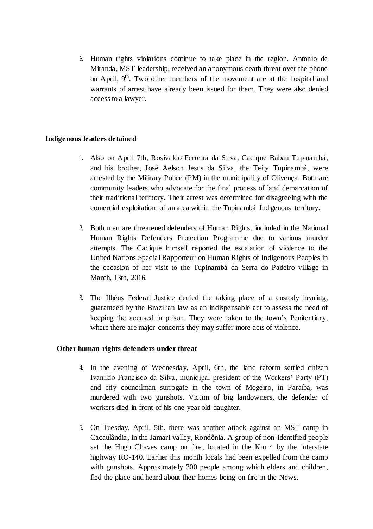6. Human rights violations continue to take place in the region. Antonio de Miranda, MST leadership, received an anonymous death threat over the phone on April,  $9<sup>th</sup>$ . Two other members of the movement are at the hospital and warrants of arrest have already been issued for them. They were also denied access to a lawyer.

## **Indigenous leaders detained**

- 1. Also on April 7th, Rosivaldo Ferreira da Silva, Cacique Babau Tupinambá, and his brother, José Aelson Jesus da Silva, the Teity Tupinambá, were arrested by the Military Police (PM) in the municipality of Olivença. Both are community leaders who advocate for the final process of land demarcation of their traditional territory. Their arrest was determined for disagreeing with the comercial exploitation of an area within the Tupinambá Indigenous territory.
- 2. Both men are threatened defenders of Human Rights, included in the National Human Rights Defenders Protection Programme due to various murder attempts. The Cacique himself reported the escalation of violence to the United Nations Special Rapporteur on Human Rights of Indigenous Peoples in the occasion of her visit to the Tupinambá da Serra do Padeiro village in March, 13th, 2016.
- 3. The Ilhéus Federal Justice denied the taking place of a custody hearing, guaranteed by the Brazilian law as an indispensable act to assess the need of keeping the accused in prison. They were taken to the town's Penitentiary, where there are major concerns they may suffer more acts of violence.

### **Other human rights defenders under threat**

- 4. In the evening of Wednesday, April, 6th, the land reform settled citizen Ivanildo Francisco da Silva, municipal president of the Workers' Party (PT) and city councilman surrogate in the town of Mogeiro, in Paraíba, was murdered with two gunshots. Victim of big landowners, the defender of workers died in front of his one year old daughter.
- 5. On Tuesday, April, 5th, there was another attack against an MST camp in Cacaulândia, in the Jamari valley, Rondônia. A group of non-identified people set the Hugo Chaves camp on fire, located in the Km 4 by the interstate highway RO-140. Earlier this month locals had been expelled from the camp with gunshots. Approximately 300 people among which elders and children, fled the place and heard about their homes being on fire in the News.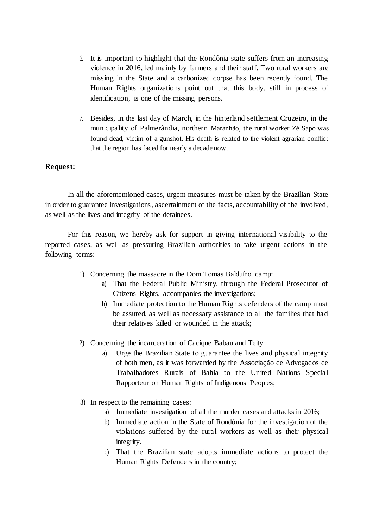- 6. It is important to highlight that the Rondônia state suffers from an increasing violence in 2016, led mainly by farmers and their staff. Two rural workers are missing in the State and a carbonized corpse has been recently found. The Human Rights organizations point out that this body, still in process of identification, is one of the missing persons.
- 7. Besides, in the last day of March, in the hinterland settlement Cruzeiro, in the municipality of Palmerândia, northern Maranhão, the rural worker Zé Sapo was found dead, victim of a gunshot. His death is related to the violent agrarian conflict that the region has faced for nearly a decade now.

### **Request:**

In all the aforementioned cases, urgent measures must be taken by the Brazilian State in order to guarantee investigations, ascertainment of the facts, accountability of the involved, as well as the lives and integrity of the detainees.

For this reason, we hereby ask for support in giving international visibility to the reported cases, as well as pressuring Brazilian authorities to take urgent actions in the following terms:

- 1) Concerning the massacre in the Dom Tomas Balduíno camp:
	- a) That the Federal Public Ministry, through the Federal Prosecutor of Citizens Rights, accompanies the investigations;
	- b) Immediate protection to the Human Rights defenders of the camp must be assured, as well as necessary assistance to all the families that had their relatives killed or wounded in the attack;
- 2) Concerning the incarceration of Cacique Babau and Teity:
	- a) Urge the Brazilian State to guarantee the lives and physical integrity of both men, as it was forwarded by the Associação de Advogados de Trabalhadores Rurais of Bahia to the United Nations Special Rapporteur on Human Rights of Indigenous Peoples;
- 3) In respect to the remaining cases:
	- a) Immediate investigation of all the murder cases and attacks in 2016;
	- b) Immediate action in the State of Rondônia for the investigation of the violations suffered by the rural workers as well as their physical integrity.
	- c) That the Brazilian state adopts immediate actions to protect the Human Rights Defenders in the country;